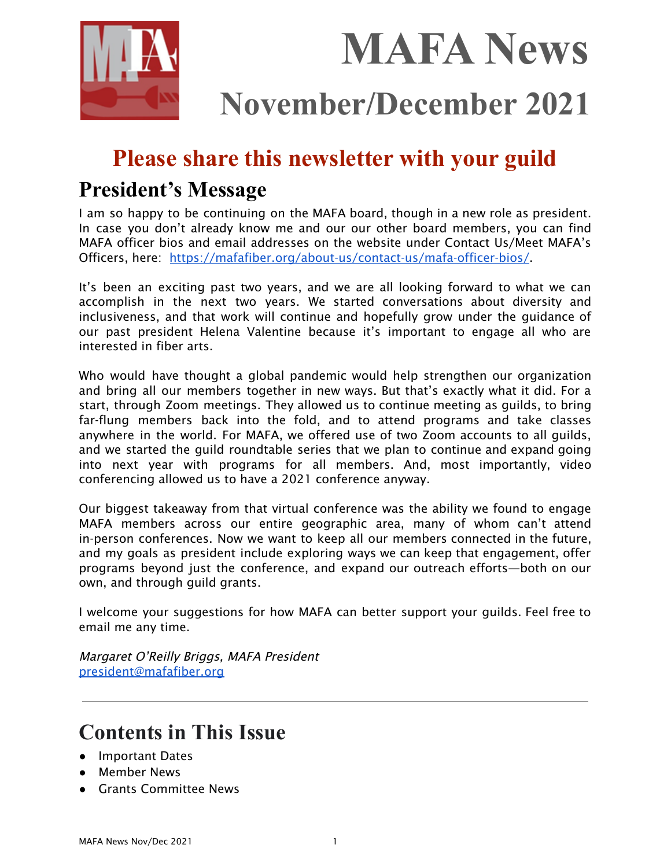

# **MAFA News**

## **November/December 2021**

## **Please share this newsletter with your guild**

## **President's Message**

I am so happy to be continuing on the MAFA board, though in a new role as president. In case you don't already know me and our our other board members, you can find MAFA officer bios and email addresses on the website under Contact Us/Meet MAFA's Officers, here: <https://mafafiber.org/about-us/contact-us/mafa-officer-bios/>.

It's been an exciting past two years, and we are all looking forward to what we can accomplish in the next two years. We started conversations about diversity and inclusiveness, and that work will continue and hopefully grow under the guidance of our past president Helena Valentine because it's important to engage all who are interested in fiber arts.

Who would have thought a global pandemic would help strengthen our organization and bring all our members together in new ways. But that's exactly what it did. For a start, through Zoom meetings. They allowed us to continue meeting as guilds, to bring far-flung members back into the fold, and to attend programs and take classes anywhere in the world. For MAFA, we offered use of two Zoom accounts to all guilds, and we started the guild roundtable series that we plan to continue and expand going into next year with programs for all members. And, most importantly, video conferencing allowed us to have a 2021 conference anyway.

Our biggest takeaway from that virtual conference was the ability we found to engage MAFA members across our entire geographic area, many of whom can't attend in-person conferences. Now we want to keep all our members connected in the future, and my goals as president include exploring ways we can keep that engagement, offer programs beyond just the conference, and expand our outreach efforts—both on our own, and through guild grants.

I welcome your suggestions for how MAFA can better support your guilds. Feel free to email me any time.

Margaret O'Reilly Briggs, MAFA President [president@mafafiber.org](mailto:president@mafafiber.org)

## **Contents in This Issue**

- Important Dates
- Member News
- Grants Committee News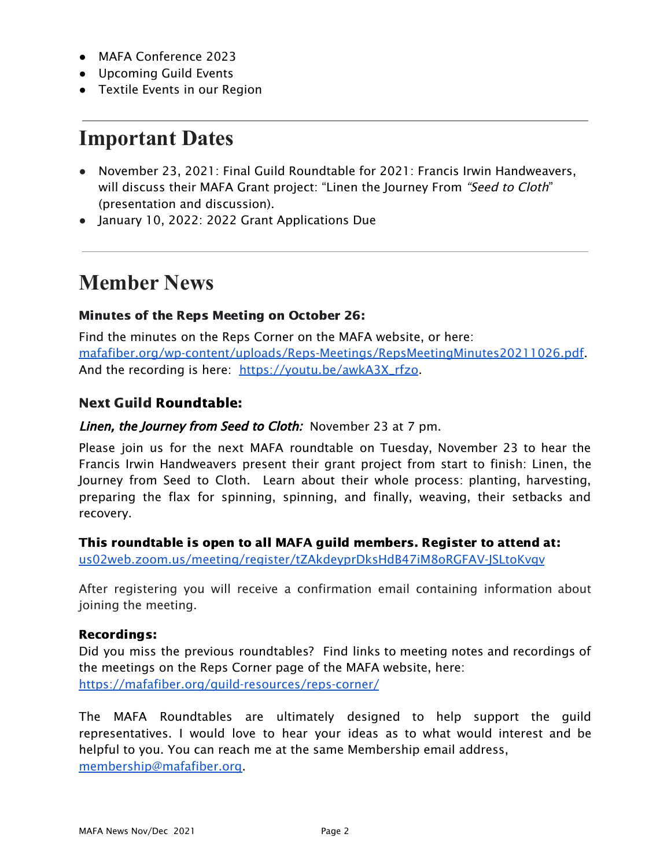- MAFA Conference 2023
- Upcoming Guild Events
- Textile Events in our Region

## **Important Dates**

- November 23, 2021: Final Guild Roundtable for 2021: Francis Irwin Handweavers, will discuss their MAFA Grant project: "Linen the Journey From "Seed to Cloth" (presentation and discussion).
- January 10, 2022: 2022 Grant Applications Due

## **Member News**

#### Minutes of the Reps Meeting on October 26:

Find the minutes on the Reps Corner on the MAFA website, or here: [mafafiber.org/wp-content/uploads/Reps-Meetings/RepsMeetingMinutes20211026.pdf.](https://mafafiber.org/wp-content/uploads/Reps-Meetings/RepsMeetingMinutes20211026.pdf) And the recording is here: [https://youtu.be/awkA3X\\_rfzo.](https://youtu.be/awkA3X_rfzo)

#### Next Guild Roundtable:

#### Linen, the Journey from Seed to Cloth: November 23 at 7 pm.

Please join us for the next MAFA roundtable on Tuesday, November 23 to hear the Francis Irwin Handweavers present their grant project from start to finish: Linen, the Journey from Seed to Cloth. Learn about their whole process: planting, harvesting, preparing the flax for spinning, spinning, and finally, weaving, their setbacks and recovery.

This roundtable is open to all MAFA guild members. Register to attend at:

[us02web.zoom.us/meeting/register/tZAkdeyprDksHdB47iM8oRGFAV-JSLtoKvgv](https://us02web.zoom.us/meeting/register/tZAkdeyprDksHdB47iM8oRGFAV-JSLtoKvgv)

After registering you will receive a confirmation email containing information about joining the meeting.

#### Recordings:

Did you miss the previous roundtables? Find links to meeting notes and recordings of the meetings on the Reps Corner page of the MAFA website, here: <https://mafafiber.org/guild-resources/reps-corner/>

The MAFA Roundtables are ultimately designed to help support the guild representatives. I would love to hear your ideas as to what would interest and be helpful to you. You can reach me at the same Membership email address, [membership@mafafiber.org.](mailto:membership@mafafiber.org)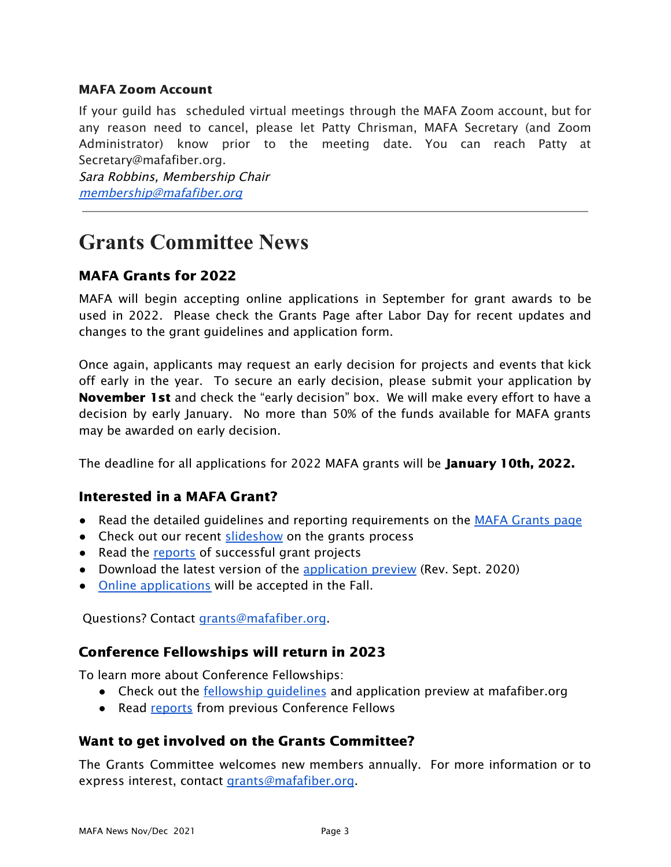#### MAFA Zoom Account

If your guild has scheduled virtual meetings through the MAFA Zoom account, but for any reason need to cancel, please let Patty Chrisman, MAFA Secretary (and Zoom Administrator) know prior to the meeting date. You can reach Patty at Secretary@mafafiber.org.

Sara Robbins, Membership Chair [membership@mafafiber.org](mailto:membership@mafafiber.org)

## **Grants Committee News**

#### MAFA Grants for 2022

MAFA will begin accepting online applications in September for grant awards to be used in 2022. Please check the Grants Page after Labor Day for recent updates and changes to the grant guidelines and application form.

Once again, applicants may request an early decision for projects and events that kick off early in the year. To secure an early decision, please submit your application by November 1st and check the "early decision" box. We will make every effort to have a decision by early January. No more than 50% of the funds available for MAFA grants may be awarded on early decision.

The deadline for all applications for 2022 MAFA grants will be **January 10th, 2022.** 

#### Interested in a MAFA Grant?

- Read the detailed guidelines and reporting requirements on the MAFA [Grants](https://mafafiber.org/grants/guild-grants/) page
- Check out our recent [slideshow](https://mafafiber.org/wp-content/uploads/Grants/MAFA-Grants-Slides-compressed.pdf) on the grants process
- Read the [reports](https://mafafiber.org/grants/guild-grants/grant-awards/) of successful grant projects
- Download the latest version of the [application](https://mafafiber.org/wp-content/uploads/Forms/MAFA-GRANT-APPLICATION-preview.pdf) preview (Rev. Sept. 2020)
- Online [applications](https://mafafiber.org/grants/guild-grants/grant-application/) will be accepted in the Fall.

Questions? Contact [grants@mafafiber.org.](mailto:grants@mafafiber.org)

#### Conference Fellowships will return in 2023

To learn more about Conference Fellowships:

- Check out the **fellowship [guidelines](https://mafafiber.org/grants/fellowships/)** and application preview at mafafiber.org
- Read [reports](https://mafafiber.org/grants/fellowships/fellowship-awards/) from previous Conference Fellows

#### Want to get involved on the Grants Committee?

The Grants Committee welcomes new members annually. For more information or to express interest, contact [grants@mafafiber.org](mailto:grants@mafafiber.org).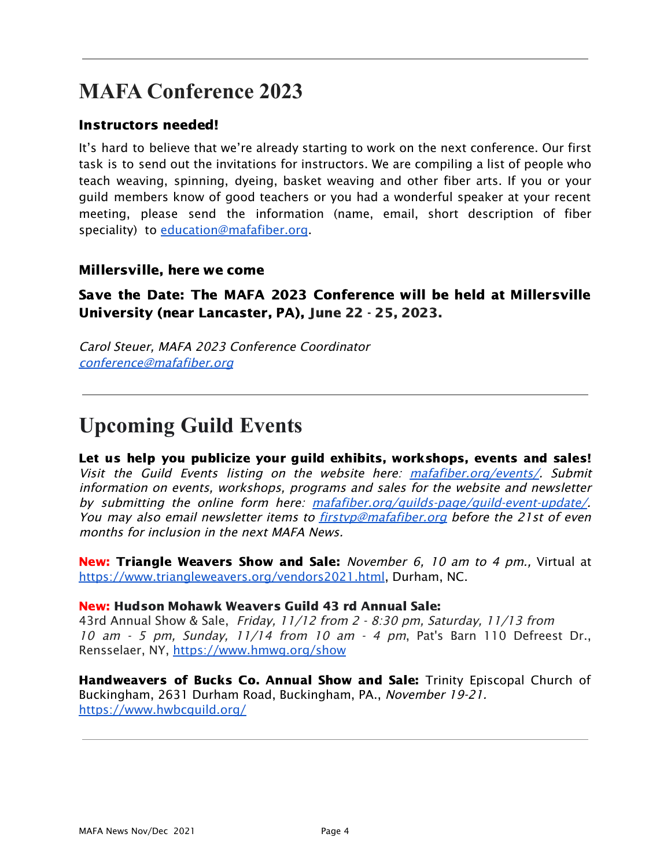## **MAFA Conference 2023**

#### Instructors needed!

It's hard to believe that we're already starting to work on the next conference. Our first task is to send out the invitations for instructors. We are compiling a list of people who teach weaving, spinning, dyeing, basket weaving and other fiber arts. If you or your guild members know of good teachers or you had a wonderful speaker at your recent meeting, please send the information (name, email, short description of fiber speciality) to *[education@mafafiber.org](mailto:education@mafafiber.org)*.

#### Millersville, here we come

Save the Date: The MAFA 2023 Conference will be held at Millersville University (near Lancaster, PA), June 22 - 25, 2023.

Carol Steuer, MAFA 2023 Conference Coordinator [conference@mafafiber.org](mailto:conference@mafafiber.org)

## **Upcoming Guild Events**

Let us help you publicize your guild exhibits, workshops, events and sales! Visit the Guild Events listing on the website here: [mafafiber.org/events/](https://mafafiber.org/events/). Submit information on events, workshops, programs and sales for the website and newsletter by submitting the online form here: mafafiber.org/quilds-page/quild-event-update/ You may also email newsletter items to firstyp@mafafiber.org before the 21st of even months for inclusion in the next MAFA News.

New: Triangle Weavers Show and Sale: November 6, 10 am to 4 pm., Virtual at <https://www.triangleweavers.org/vendors2021.html>, Durham, NC.

#### New: Hudson Mohawk [Weavers](https://mafafiber.org/event/hudson-mohawk-weavers-guild-annual-sale/) Guild 43 rd Annual Sale:

43rd Annual Show & Sale, Friday, 11/12 from 2 - 8:30 pm, Saturday, 11/13 from 10 am - 5 pm, Sunday, 11/14 from 10 am - 4 pm, Pat's Barn 110 Defreest Dr., Rensselaer, NY, <https://www.hmwg.org/show>

Handweavers of Bucks Co. Annual Show and Sale: Trinity Episcopal Church of Buckingham, 2631 Durham Road, Buckingham, PA., November 19-21. <https://www.hwbcguild.org/>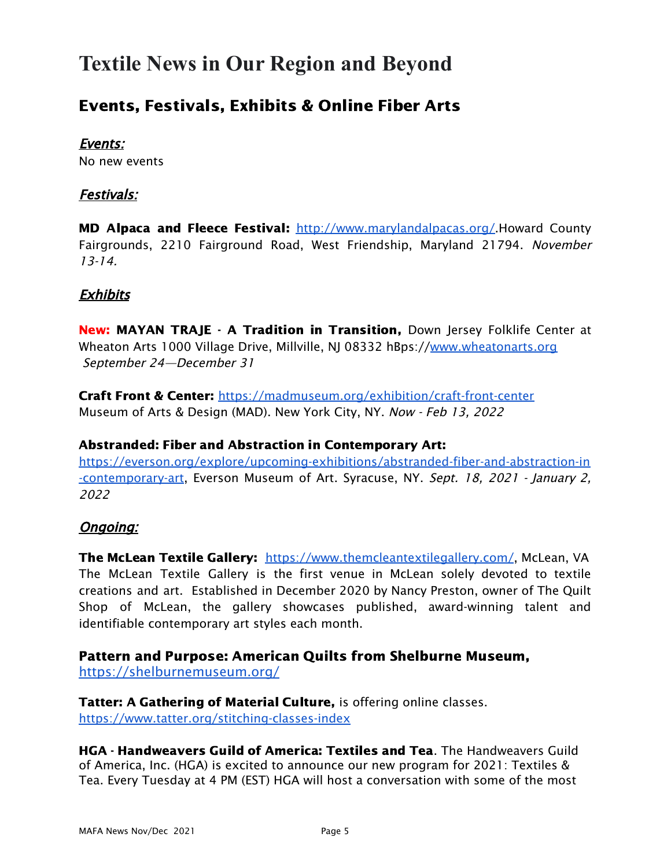## **Textile News in Our Region and Beyond**

### Events, Festivals, Exhibits & Online Fiber Arts

#### Events:

No new events

#### Festivals:

**MD Alpaca and Fleece Festival:** [http://www.marylandalpacas.org/.](http://www.marylandalpacas.org/)Howard County Fairgrounds, 2210 Fairground Road, West Friendship, Maryland 21794. November 13-14.

#### Exhibits

New: MAYAN TRAJE - A Tradition in Transition, Down Jersey Folklife Center at Wheaton Arts 1000 Village Drive, Millville, NJ 08332 hBps://[www.wheatonarts.org](http://www.wheatonarts.org) September 24—December 31

Craft Front & Center: <https://madmuseum.org/exhibition/craft-front-center> Museum of Arts & Design (MAD). New York City, NY. Now - Feb 13, 2022

#### Abstranded: Fiber and Abstraction in Contemporary Art:

[https://everson.org/explore/upcoming-exhibitions/abstranded-fiber-and-abstraction-in](https://everson.org/explore/upcoming-exhibitions/abstranded-fiber-and-abstraction-in-contemporary-art) [-contemporary-art](https://everson.org/explore/upcoming-exhibitions/abstranded-fiber-and-abstraction-in-contemporary-art), Everson Museum of Art. Syracuse, NY. Sept. 18, 2021 - January 2, 2022

#### Ongoing:

The McLean Textile Gallery: <https://www.themcleantextilegallery.com/>, McLean, VA The McLean Textile Gallery is the first venue in McLean solely devoted to textile creations and art. Established in December 2020 by Nancy Preston, owner of The Quilt Shop of McLean, the gallery showcases published, award-winning talent and identifiable contemporary art styles each month.

#### Pattern and Purpose: American Quilts from Shelburne Museum,

<https://shelburnemuseum.org/>

Tatter: A Gathering of Material Culture, is offering online classes. <https://www.tatter.org/stitching-classes-index>

HGA - Handweavers Guild of America: Textiles and Tea. The Handweavers Guild of America, Inc. (HGA) is excited to announce our new program for 2021: Textiles & Tea. Every Tuesday at 4 PM (EST) HGA will host a conversation with some of the most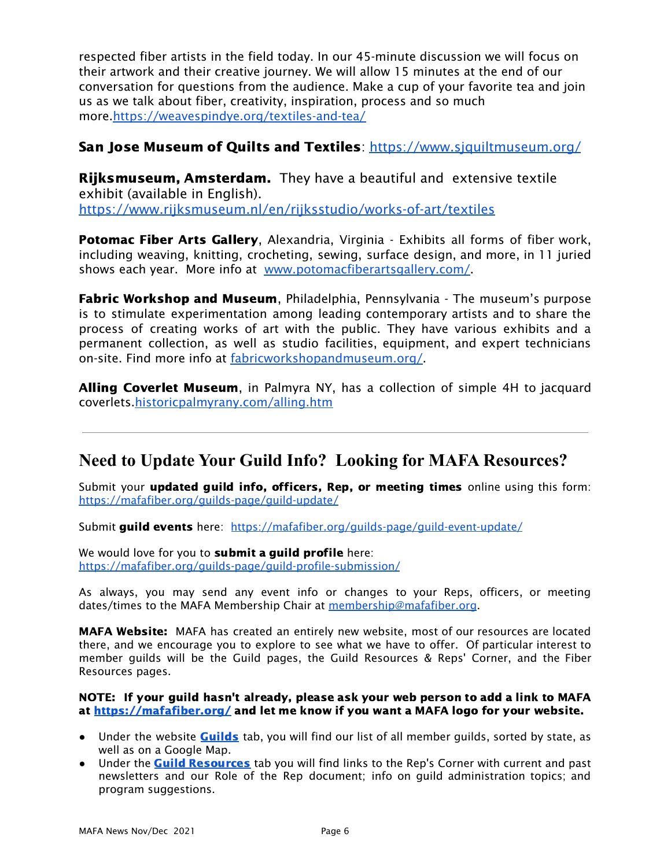respected fiber artists in the field today. In our 45-minute discussion we will focus on their artwork and their creative journey. We will allow 15 minutes at the end of our conversation for questions from the audience. Make a cup of your favorite tea and join us as we talk about fiber, creativity, inspiration, process and so much more[.https://weavespindye.org/textiles-and-tea/](https://weavespindye.org/textiles-and-tea/)

#### San Jose Museum of Quilts and Textiles: <https://www.sjquiltmuseum.org/>

**Rijksmuseum, Amsterdam.** They have a beautiful and extensive textile exhibit (available in English).

<https://www.rijksmuseum.nl/en/rijksstudio/works-of-art/textiles>

Potomac Fiber Arts Gallery, Alexandria, Virginia - Exhibits all forms of fiber work, including weaving, knitting, crocheting, sewing, surface design, and more, in 11 juried shows each year. More info at [www.potomacfiberartsgallery.com/](http://www.potomacfiberartsgallery.com/).

**Fabric Workshop and Museum**, Philadelphia, Pennsylvania - The museum's purpose is to stimulate experimentation among leading contemporary artists and to share the process of creating works of art with the public. They have various exhibits and a permanent collection, as well as studio facilities, equipment, and expert technicians on-site. Find more info at [fabricworkshopandmuseum.org/.](http://fabricworkshopandmuseum.org/)

Alling Coverlet Museum, in Palmyra NY, has a collection of simple 4H to jacquard coverlets[.historicpalmyrany.com/alling.htm](http://historicpalmyrany.com/alling.htm)

#### **Need to Update Your Guild Info? Looking for MAFA Resources?**

Submit your updated guild info, officers, Rep, or meeting times online using this form: <https://mafafiber.org/guilds-page/guild-update/>

Submit guild events here: [https://mafafiber.org/guilds-page/guild-event-update/](http://mafafiber.org/guilds-page/guild-event-update/)

We would love for you to submit a guild profile here: <https://mafafiber.org/guilds-page/guild-profile-submission/>

As always, you may send any event info or changes to your Reps, officers, or meeting dates/times to the MAFA Membership Chair at [membership@mafafiber.org](mailto:membership@mafafiber.org).

MAFA Website: MAFA has created an entirely new website, most of our resources are located there, and we encourage you to explore to see what we have to offer. Of particular interest to member guilds will be the Guild pages, the Guild Resources & Reps' Corner, and the Fiber Resources pages.

#### NOTE: If your guild hasn't already, please ask your web person to add a link to MAFA at <https://mafafiber.org/> and let me know if you want a MAFA logo for your website.

- Under the website **[Guilds](https://mafafiber.org/guilds-page/)** tab, you will find our list of all member guilds, sorted by state, as well as on a Google Map.
- Under the **Guild [Resources](http://mafafiber.org/guild-resources/)** tab you will find links to the Rep's Corner with current and past newsletters and our Role of the Rep document; info on guild administration topics; and program suggestions.